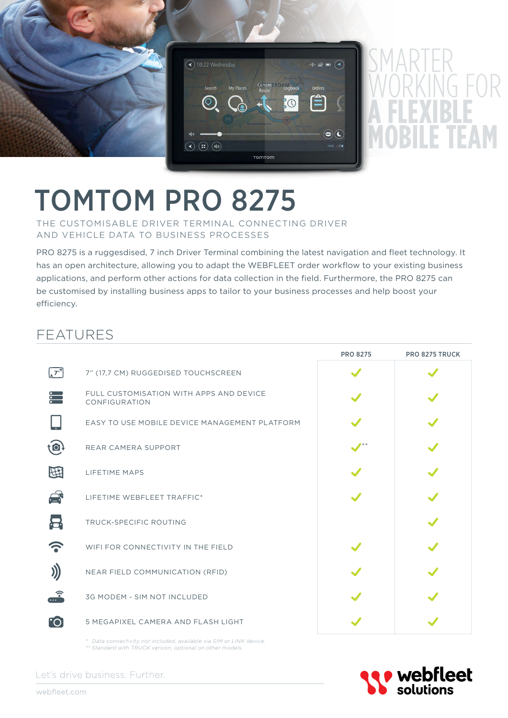

# TOMTOM PRO 8275

THE CUSTOMISABLE DRIVER TERMINAL CONNECTING DRIVER AND VEHICLE DATA TO BUSINESS PROCESSES

PRO 8275 is a ruggesdised, 7 inch Driver Terminal combining the latest navigation and fleet technology. It has an open architecture, allowing you to adapt the WEBFLEET order workflow to your existing business applications, and perform other actions for data collection in the field. Furthermore, the PRO 8275 can be customised by installing business apps to tailor to your business processes and help boost your efficiency.

## FEATURES

|                        |                                                                                                                                                                                                                                | <b>PRO 8275</b> | <b>PRO 8275 TRUCK</b> |
|------------------------|--------------------------------------------------------------------------------------------------------------------------------------------------------------------------------------------------------------------------------|-----------------|-----------------------|
| $\sqrt{7}$             | 7" (17,7 CM) RUGGEDISED TOUCHSCREEN                                                                                                                                                                                            |                 |                       |
| $\ddot{\cdot}$         | FULL CUSTOMISATION WITH APPS AND DEVICE<br>CONFIGURATION                                                                                                                                                                       |                 |                       |
|                        | EASY TO USE MOBILE DEVICE MANAGEMENT PLATFORM                                                                                                                                                                                  |                 |                       |
| to                     | REAR CAMERA SUPPORT                                                                                                                                                                                                            |                 |                       |
| 田                      | <b>LIFETIME MAPS</b>                                                                                                                                                                                                           |                 |                       |
| $\triangle$            | LIFETIME WEBFLEET TRAFFIC*                                                                                                                                                                                                     |                 |                       |
| 吕                      | <b>TRUCK-SPECIFIC ROUTING</b>                                                                                                                                                                                                  |                 |                       |
|                        | WIFI FOR CONNECTIVITY IN THE FIELD                                                                                                                                                                                             |                 |                       |
|                        | NEAR FIELD COMMUNICATION (RFID)                                                                                                                                                                                                |                 |                       |
| $\widehat{\mathbf{r}}$ | 3G MODEM - SIM NOT INCLUDED                                                                                                                                                                                                    |                 |                       |
| <b>[O]</b>             | 5 MEGAPIXEL CAMERA AND FLASH LIGHT                                                                                                                                                                                             |                 |                       |
|                        | the contract of the contract of the contract of the contract of the contract of the contract of the contract of the contract of the contract of the contract of the contract of the contract of the contract of the contract o |                 |                       |

*\* Data connectivity not included, available via SIM or LINK device. \*\* Standard with TRUCK version, optional on other models.*